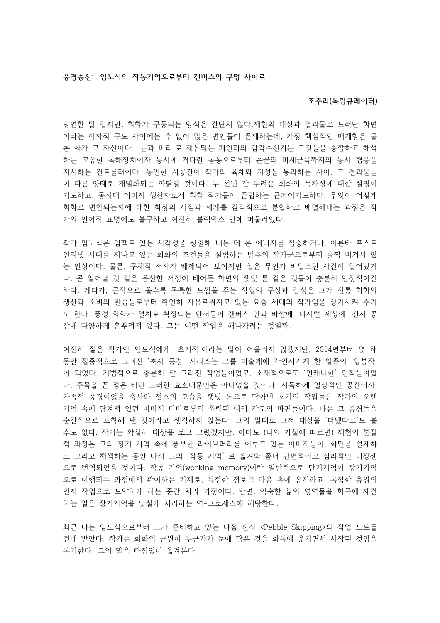## **풍경송신 임노식의 : 작동기억으로부터 캔버스의 구멍 사이로**

## **조주리 독립큐레이터 ( )**

당연한 말 같지만, 회화가 구동되는 방식은 간단치 않다.재현의 대상과 결과물로 드러난 화면 이라는 이자적 구도 사이에는 수 없이 많은 변인들이 존재하는데, 가장 핵심적인 매개항은 물 론 화가 그 자신이다. '눈과 머리'로 제유되는 페인터의 감각수신기는 그것들을 종합하고 해석 하는 고유한 독해장치이자 동시에 커다란 몸통으로부터 손끝의 미세근육까지의 동시 협응을 지시하는 컨트롤러이다. 동일한 시공간이 작가의 육체와 지성을 통과하는 사이, 그 결과물들 이 다른 양태로 개별화되는 까닭일 것이다. 누 천년 간 누려온 회화의 독자성에 대한 설명이 기도하고, 동시대 이미지 생산자로서 회화 작가들이 존립하는 근거이기도하다. 무엇이 어떻게 회화로 변환되는지에 대한 착상의 시점과 세계를 감각적으로 분할하고 배열해내는 과정은 작 가의 언어적 표명에도 불구하고 여전히 블랙박스 안에 머물러있다.

작가 임노식은 임팩트 있는 시각성을 창출해 내는 데 온 에너지를 집중하거나, 이른바 포스트 인터넷 시대를 지나고 있는 회화의 조건들을 실험하는 범주의 작가군으로부터 슬쩍 비켜서 있 는 인상이다. 물론, 구체적 서사가 배제되어 보이지만 실은 무언가 비밀스런 사건이 일어났거 나, 곧 일어날 것 같은 음산한 서정이 배어든 화면의 잿빛 톤 같은 것들이 충분히 인상적이긴 하다. 게다가, 근작으로 올수록 독특한 느낌을 주는 작업의 구성과 감성은 그가 전통 회화의 생산과 소비의 관습들로부터 확연히 자유로워지고 있는 요즘 세대의 작가임을 상기시켜 주기 도 한다. 풍경 회화가 설치로 확장되는 단서들이 캔버스 안과 바깥에, 디지털 세상에, 전시 공 간에 다양하게 흩뿌려져 있다. 그는 어떤 작업을 해나가려는 것일까.

여전히 젊은 작가인 임노식에게 '초기작'이라는 말이 어울리지 않겠지만, 2014년부터 몇 해 동안 집중적으로 그려진 '축사 풍경' 시리즈는 그를 미술계에 각인시키게 한 일종의 '입봉작' 이 되었다. 기법적으로 충분히 잘 그려진 작업들이었고, 소재적으로도 '언캐니한' 연작들이었 다. 주목을 끈 점은 비단 그러한 요소때문만은 아니었을 것이다. 지독하게 일상적인 공간이자, 가족적 풍경이었을 축사와 젖소의 모습을 잿빛 톤으로 담아낸 초기의 작업들은 작가의 오랜 기억 속에 담겨져 있던 이미지 더미로부터 출력된 여러 각도의 파편들이다. 나는 그 풍경들을 순간적으로 포착해 낸 것이라고 생각하지 않는다. 그의 말대로 그저 대상을 '떠냈다고'도 볼 수도 없다. 작가는 확실히 대상을 보고 그렸겠지만, 아마도 (나의 가설에 따르면) 재현의 본질 적 과정은 그의 장기 기억 속에 풍부한 라이브러리를 이루고 있는 이미지들이, 화면을 설계하 고 그리고 채색하는 동안 다시 그의 '작동 기억' 로 옮겨와 좀더 단편적이고 심리적인 미장센 으로 번역되었을 것이다. 작동 기억(working memory)이란 일반적으로 단기기억이 장기기억 으로 이행되는 과정에서 관여하는 기제로, 특정한 정보를 마음 속에 유지하고, 복잡한 층위의 인지 작업으로 도약하게 하는 중간 처리 과정이다. 반면, 익숙한 삶의 영역들을 화폭에 재건 하는 일은 장기기억을 낯설게 처리하는 역-프로세스에 해당한다.

최근 나는 임노식으로부터 그가 준비하고 있는 다음 전시 <Pebble Skipping>의 작업 노트를 건네 받았다. 작가는 회화의 근원이 누군가가 눈에 담은 것을 화폭에 옮기면서 시작된 것임을 복기한다. 그의 말을 빠짐없이 옮겨본다.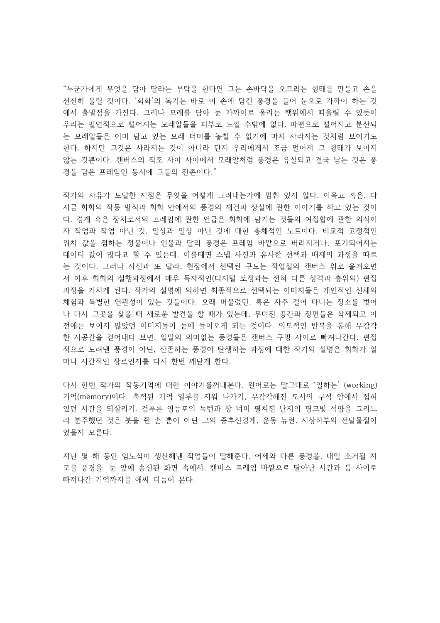"누군가에게 무엇을 담아 달라는 부탁을 한다면 그는 손바닥을 오므리는 형태를 만들고 손을 천천히 올릴 것이다. '회화'의 복기는 바로 이 손에 담긴 풍경을 들어 눈으로 가까이 하는 것 에서 출발점을 가진다. 그러나 모래를 담아 눈 가까이로 올리는 행위에서 떠올릴 수 있듯이 우리는 필연적으로 떨어지는 모래알들을 피부로 느낄 수밖에 없다. 파편으로 떨어지고 분산되 는 모래알들은 이미 담고 있는 모래 더미를 놓칠 수 없기에 마치 사라지는 것처럼 보이기도 한다. 하지만 그것은 사라지는 것이 아니라 단지 우리에게서 조금 멀어져 그 형태가 보이지 않는 것뿐이다. 캔버스의 직조 사이 사이에서 모래알처럼 풍경은 유실되고 결국 남는 것은 풍 경을 담은 프레임인 동시에 그들의 잔존이다."

작가의 사유가 도달한 지점은 무엇을 어떻게 그려내는가에 멈춰 있지 않다. 이윽고 혹은, 다 시금 회화의 작동 방식과 회화 안에서의 풍경의 재건과 상실에 관한 이야기를 하고 있는 것이 다. 경계 혹은 장치로서의 프레임에 관한 언급은 회화에 담기는 것들의 여집합에 관한 의식이 자 작업과 작업 아닌 것, 일상과 일상 아닌 것에 대한 총체적인 노트이다. 비교적 고정적인 위치 값을 점하는 정물이나 인물과 달리 풍경은 프레임 바깥으로 버려지거나, 포기되어지는 데이터 값이 많다고 할 수 있는데, 이를테면 스냅 사진과 유사한 선택과 배제의 과정을 따르 는 것이다. 그러나 사진과 또 달라, 현장에서 선택된 구도는 작업실의 캔버스 위로 옮겨오면 서 이후 회화의 실행과정에서 매우 독자적인 (디지털 보정과는 전혀 다른 성격과 층위의) 편집 과정을 거치게 된다. 작가의 설명에 의하면 최종적으로 선택되는 이미지들은 개인적인 신체의 체험과 특별한 연관성이 있는 것들이다. 오래 머물렀던, 혹은 자주 걸어 다니는 장소를 벗어 나 다시 그곳을 찾을 때 새로운 발견을 할 때가 있는데, 무뎌진 공간과 장면들은 삭제되고 이 전에는 보이지 않았던 이미지들이 눈에 들어오게 되는 것이다. 의도적인 반복을 통해 무감각 한 시공간을 걷어내다 보면, 일말의 의미없는 풍경들은 캔버스 구멍 사이로 빠져나간다. 편집 적으로 도려낸 풍경이 아닌, 잔존하는 풍경이 탄생하는 과정에 대한 작가의 설명은 회화가 얼 마나 시간적인 장르인지를 다시 한번 깨닫게 한다.

다시 한번 작가의 작동기억에 대한 이야기를꺼내본다. 원어로는 말그대로 '일하는' (working) 기억(memory)이다. 축적된 기억 일부를 지워 나가기, 무감각해진 도시의 구석 안에서 접혀 있던 시간을 되살리기. 검푸른 영등포의 녹턴과 창 너머 펼쳐진 난지의 핑크빛 석양을 그리느 라 분주했던 것은 붓을 쥔 손 뿐이 아닌 그의 중추신경계, 운동 뉴런, 시상하부의 전달물질이 었을지 모른다.

지난 몇 해 동안 임노식이 생산해낸 작업들이 말해준다. 어제와 다른 풍경을, 내일 소거될 지 모를 풍경을. 눈 앞에 송신된 화면 속에서, 캔버스 프레임 바깥으로 달아난 시간과 틈 사이로 빠져나간 기억까지를 애써 더듬어 본다.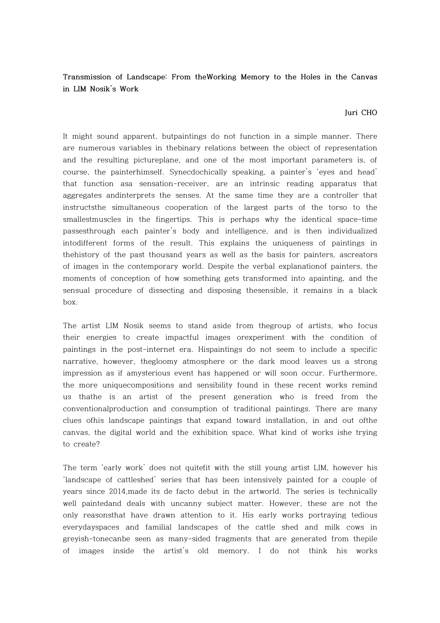**Transmission of Landscape: From theWorking Memory to the Holes in the Canvas in LIM Nosik's Work**

## **Juri CHO**

It might sound apparent, butpaintings do not function in a simple manner. There are numerous variables in thebinary relations between the object of representation and the resulting pictureplane, and one of the most important parameters is, of course, the painterhimself. Synecdochically speaking, a painter's 'eyes and head' that function asa sensation-receiver, are an intrinsic reading apparatus that aggregates andinterprets the senses. At the same time they are a controller that instructsthe simultaneous cooperation of the largest parts of the torso to the smallestmuscles in the fingertips. This is perhaps why the identical space-time passesthrough each painter's body and intelligence, and is then individualized intodifferent forms of the result. This explains the uniqueness of paintings in thehistory of the past thousand years as well as the basis for painters, ascreators of images in the contemporary world. Despite the verbal explanationof painters, the moments of conception of how something gets transformed into apainting, and the sensual procedure of dissecting and disposing thesensible, it remains in a black box.

The artist LIM Nosik seems to stand aside from thegroup of artists, who focus their energies to create impactful images orexperiment with the condition of paintings in the post-internet era. Hispaintings do not seem to include a specific narrative, however, thegloomy atmosphere or the dark mood leaves us a strong impression as if amysterious event has happened or will soon occur. Furthermore, the more uniquecompositions and sensibility found in these recent works remind us thathe is an artist of the present generation who is freed from the conventionalproduction and consumption of traditional paintings. There are many clues ofhis landscape paintings that expand toward installation, in and out ofthe canvas, the digital world and the exhibition space. What kind of works ishe trying to create?

The term 'early work' does not quitefit with the still young artist LIM, however his 'landscape of cattleshed' series that has been intensively painted for a couple of years since 2014,made its de facto debut in the artworld. The series is technically well paintedand deals with uncanny subject matter. However, these are not the only reasonsthat have drawn attention to it. His early works portraying tedious everydayspaces and familial landscapes of the cattle shed and milk cows in greyish-tonecanbe seen as many-sided fragments that are generated from thepile of images inside the artist's old memory. I do not think his works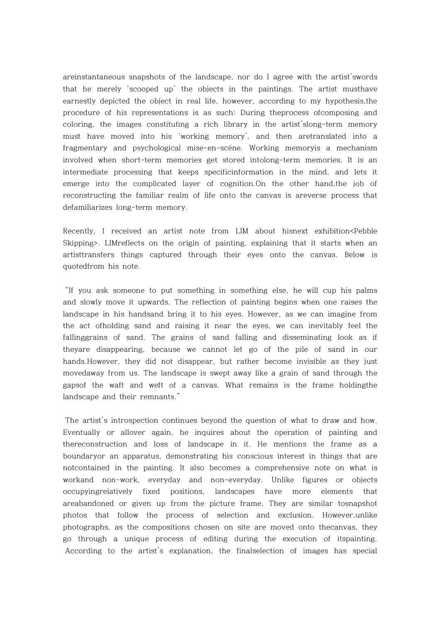areinstantaneous snapshots of the landscape, nor do I agree with the artist'swords that he merely 'scooped up' the objects in the paintings. The artist musthave earnestly depicted the object in real life, however, according to my hypothesis,the procedure of his representations is as such: During theprocess ofcomposing and coloring, the images constituting a rich library in the artist'slong-term memory must have moved into his 'working memory', and then aretranslated into a fragmentary and psychological mise-en-scéne. Working memoryis a mechanism involved when short-term memories get stored intolong-term memories. It is an intermediate processing that keeps specificinformation in the mind, and lets it emerge into the complicated layer of cognition.On the other hand,the job of reconstructing the familiar realm of life onto the canvas is areverse process that defamiliarizes long-term memory.

Recently, I received an artist note from LIM about hisnext exhibition<Pebble Skipping>. LIMreflects on the origin of painting, explaining that it starts when an artisttransfers things captured through their eyes onto the canvas. Below is quotedfrom his note.

"If you ask someone to put something in something else, he will cup his palms and slowly move it upwards. The reflection of painting begins when one raises the landscape in his handsand bring it to his eyes. However, as we can imagine from the act ofholding sand and raising it near the eyes, we can inevitably feel the fallinggrains of sand. The grains of sand falling and disseminating look as if theyare disappearing, because we cannot let go of the pile of sand in our hands.However, they did not disappear, but rather become invisible as they just movedaway from us. The landscape is swept away like a grain of sand through the gapsof the waft and weft of a canvas. What remains is the frame holdingthe landscape and their remnants."

The artist's introspection continues beyond the question of what to draw and how. Eventually or allover again, he inquires about the operation of painting and thereconstruction and loss of landscape in it. He mentions the frame as a boundaryor an apparatus, demonstrating his conscious interest in things that are notcontained in the painting. It also becomes a comprehensive note on what is workand non-work, everyday and non-everyday. Unlike figures or objects occupyingrelatively fixed positions, landscapes have more elements that areabandoned or given up from the picture frame. They are similar tosnapshot photos that follow the process of selection and exclusion. However,unlike photographs, as the compositions chosen on site are moved onto thecanvas, they go through a unique process of editing during the execution of itspainting. According to the artist's explanation, the finalselection of images has special